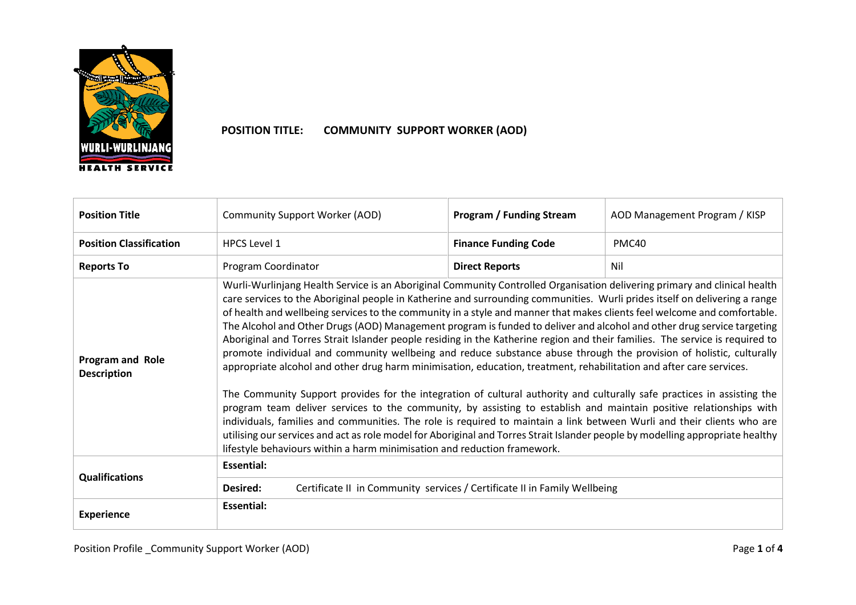

## **POSITION TITLE: COMMUNITY SUPPORT WORKER (AOD)**

| <b>Position Title</b>                         | <b>Community Support Worker (AOD)</b>                                                                                                                                                                                                                                                                                                                                                                                                                                                                                                                                                                                                                                                                                                                                                                                                                                                                                                                                                                                                                                                                                                                                                                                                                                                                                                                                                                                                                                                | <b>Program / Funding Stream</b> | AOD Management Program / KISP |  |
|-----------------------------------------------|--------------------------------------------------------------------------------------------------------------------------------------------------------------------------------------------------------------------------------------------------------------------------------------------------------------------------------------------------------------------------------------------------------------------------------------------------------------------------------------------------------------------------------------------------------------------------------------------------------------------------------------------------------------------------------------------------------------------------------------------------------------------------------------------------------------------------------------------------------------------------------------------------------------------------------------------------------------------------------------------------------------------------------------------------------------------------------------------------------------------------------------------------------------------------------------------------------------------------------------------------------------------------------------------------------------------------------------------------------------------------------------------------------------------------------------------------------------------------------------|---------------------------------|-------------------------------|--|
| <b>Position Classification</b>                | <b>HPCS Level 1</b>                                                                                                                                                                                                                                                                                                                                                                                                                                                                                                                                                                                                                                                                                                                                                                                                                                                                                                                                                                                                                                                                                                                                                                                                                                                                                                                                                                                                                                                                  | <b>Finance Funding Code</b>     | PMC40                         |  |
| <b>Reports To</b>                             | Program Coordinator                                                                                                                                                                                                                                                                                                                                                                                                                                                                                                                                                                                                                                                                                                                                                                                                                                                                                                                                                                                                                                                                                                                                                                                                                                                                                                                                                                                                                                                                  | <b>Direct Reports</b>           | Nil                           |  |
| <b>Program and Role</b><br><b>Description</b> | Wurli-Wurlinjang Health Service is an Aboriginal Community Controlled Organisation delivering primary and clinical health<br>care services to the Aboriginal people in Katherine and surrounding communities. Wurli prides itself on delivering a range<br>of health and wellbeing services to the community in a style and manner that makes clients feel welcome and comfortable.<br>The Alcohol and Other Drugs (AOD) Management program is funded to deliver and alcohol and other drug service targeting<br>Aboriginal and Torres Strait Islander people residing in the Katherine region and their families. The service is required to<br>promote individual and community wellbeing and reduce substance abuse through the provision of holistic, culturally<br>appropriate alcohol and other drug harm minimisation, education, treatment, rehabilitation and after care services.<br>The Community Support provides for the integration of cultural authority and culturally safe practices in assisting the<br>program team deliver services to the community, by assisting to establish and maintain positive relationships with<br>individuals, families and communities. The role is required to maintain a link between Wurli and their clients who are<br>utilising our services and act as role model for Aboriginal and Torres Strait Islander people by modelling appropriate healthy<br>lifestyle behaviours within a harm minimisation and reduction framework. |                                 |                               |  |
| <b>Qualifications</b>                         | <b>Essential:</b>                                                                                                                                                                                                                                                                                                                                                                                                                                                                                                                                                                                                                                                                                                                                                                                                                                                                                                                                                                                                                                                                                                                                                                                                                                                                                                                                                                                                                                                                    |                                 |                               |  |
|                                               | Certificate II in Community services / Certificate II in Family Wellbeing<br>Desired:                                                                                                                                                                                                                                                                                                                                                                                                                                                                                                                                                                                                                                                                                                                                                                                                                                                                                                                                                                                                                                                                                                                                                                                                                                                                                                                                                                                                |                                 |                               |  |
| <b>Experience</b>                             | <b>Essential:</b>                                                                                                                                                                                                                                                                                                                                                                                                                                                                                                                                                                                                                                                                                                                                                                                                                                                                                                                                                                                                                                                                                                                                                                                                                                                                                                                                                                                                                                                                    |                                 |                               |  |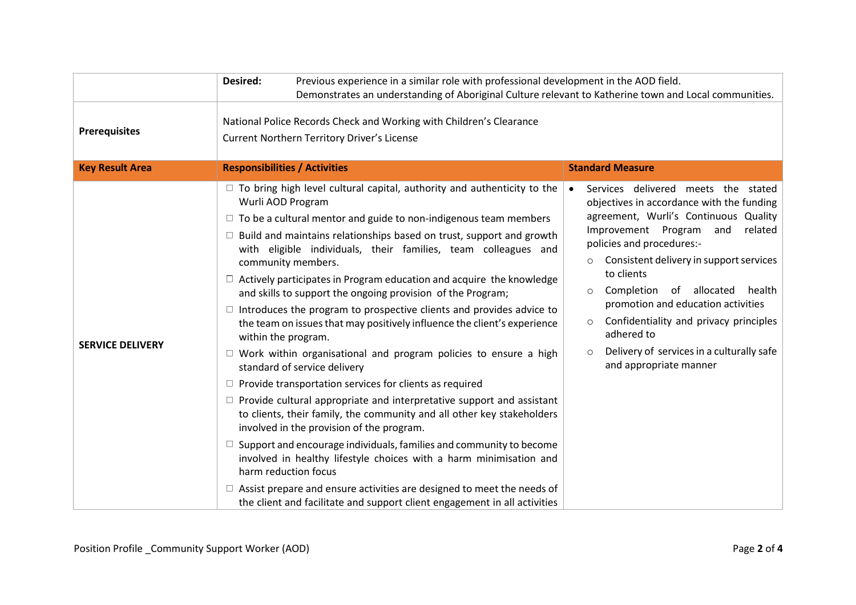|                         | Desired:<br>Previous experience in a similar role with professional development in the AOD field.<br>Demonstrates an understanding of Aboriginal Culture relevant to Katherine town and Local communities.                                                                                                                                                                                                                                                                                                                                                                                                                                                                                                                                                                                                                                                                                                                                                                                                                                                                                                                                                                                                                                                                                                                                                                                                             |                                                                                                                                                                                                                                                                                                                                                                                                                                                                                                             |  |
|-------------------------|------------------------------------------------------------------------------------------------------------------------------------------------------------------------------------------------------------------------------------------------------------------------------------------------------------------------------------------------------------------------------------------------------------------------------------------------------------------------------------------------------------------------------------------------------------------------------------------------------------------------------------------------------------------------------------------------------------------------------------------------------------------------------------------------------------------------------------------------------------------------------------------------------------------------------------------------------------------------------------------------------------------------------------------------------------------------------------------------------------------------------------------------------------------------------------------------------------------------------------------------------------------------------------------------------------------------------------------------------------------------------------------------------------------------|-------------------------------------------------------------------------------------------------------------------------------------------------------------------------------------------------------------------------------------------------------------------------------------------------------------------------------------------------------------------------------------------------------------------------------------------------------------------------------------------------------------|--|
| <b>Prerequisites</b>    | National Police Records Check and Working with Children's Clearance<br><b>Current Northern Territory Driver's License</b>                                                                                                                                                                                                                                                                                                                                                                                                                                                                                                                                                                                                                                                                                                                                                                                                                                                                                                                                                                                                                                                                                                                                                                                                                                                                                              |                                                                                                                                                                                                                                                                                                                                                                                                                                                                                                             |  |
| <b>Key Result Area</b>  | <b>Responsibilities / Activities</b>                                                                                                                                                                                                                                                                                                                                                                                                                                                                                                                                                                                                                                                                                                                                                                                                                                                                                                                                                                                                                                                                                                                                                                                                                                                                                                                                                                                   | <b>Standard Measure</b>                                                                                                                                                                                                                                                                                                                                                                                                                                                                                     |  |
| <b>SERVICE DELIVERY</b> | $\Box$ To bring high level cultural capital, authority and authenticity to the<br>Wurli AOD Program<br>$\Box$ To be a cultural mentor and guide to non-indigenous team members<br>$\Box$ Build and maintains relationships based on trust, support and growth<br>with eligible individuals, their families, team colleagues and<br>community members.<br>$\Box$ Actively participates in Program education and acquire the knowledge<br>and skills to support the ongoing provision of the Program;<br>$\Box$ Introduces the program to prospective clients and provides advice to<br>the team on issues that may positively influence the client's experience<br>within the program.<br>$\Box$ Work within organisational and program policies to ensure a high<br>standard of service delivery<br>$\Box$ Provide transportation services for clients as required<br>$\Box$ Provide cultural appropriate and interpretative support and assistant<br>to clients, their family, the community and all other key stakeholders<br>involved in the provision of the program.<br>Support and encourage individuals, families and community to become<br>$\Box$<br>involved in healthy lifestyle choices with a harm minimisation and<br>harm reduction focus<br>$\Box$ Assist prepare and ensure activities are designed to meet the needs of<br>the client and facilitate and support client engagement in all activities | Services delivered meets the stated<br>$\bullet$<br>objectives in accordance with the funding<br>agreement, Wurli's Continuous Quality<br>Improvement Program<br>related<br>and<br>policies and procedures:-<br>Consistent delivery in support services<br>to clients<br>of<br>allocated<br>Completion<br>health<br>$\circ$<br>promotion and education activities<br>Confidentiality and privacy principles<br>$\circ$<br>adhered to<br>Delivery of services in a culturally safe<br>and appropriate manner |  |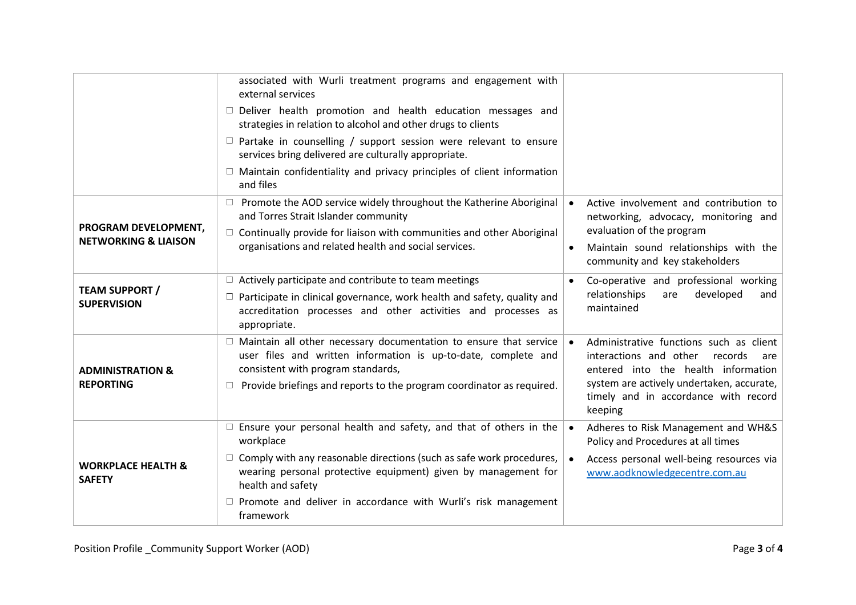|                                                         | associated with Wurli treatment programs and engagement with<br>external services<br>$\Box$ Deliver health promotion and health education messages and<br>strategies in relation to alcohol and other drugs to clients<br>$\Box$ Partake in counselling / support session were relevant to ensure<br>services bring delivered are culturally appropriate.<br>$\Box$ Maintain confidentiality and privacy principles of client information<br>and files |                                                                                                                                                                                                                            |
|---------------------------------------------------------|--------------------------------------------------------------------------------------------------------------------------------------------------------------------------------------------------------------------------------------------------------------------------------------------------------------------------------------------------------------------------------------------------------------------------------------------------------|----------------------------------------------------------------------------------------------------------------------------------------------------------------------------------------------------------------------------|
| PROGRAM DEVELOPMENT,<br><b>NETWORKING &amp; LIAISON</b> | $\Box$ Promote the AOD service widely throughout the Katherine Aboriginal<br>and Torres Strait Islander community<br>$\Box$ Continually provide for liaison with communities and other Aboriginal<br>organisations and related health and social services.                                                                                                                                                                                             | Active involvement and contribution to<br>networking, advocacy, monitoring and<br>evaluation of the program<br>Maintain sound relationships with the<br>community and key stakeholders                                     |
| <b>TEAM SUPPORT /</b><br><b>SUPERVISION</b>             | $\Box$ Actively participate and contribute to team meetings<br>$\Box$ Participate in clinical governance, work health and safety, quality and<br>accreditation processes and other activities and processes as<br>appropriate.                                                                                                                                                                                                                         | Co-operative and professional working<br>$\bullet$<br>relationships<br>developed<br>are<br>and<br>maintained                                                                                                               |
| <b>ADMINISTRATION &amp;</b><br><b>REPORTING</b>         | $\Box$ Maintain all other necessary documentation to ensure that service<br>user files and written information is up-to-date, complete and<br>consistent with program standards,<br>Provide briefings and reports to the program coordinator as required.                                                                                                                                                                                              | Administrative functions such as client<br>interactions and other<br>records<br>are<br>entered into the health information<br>system are actively undertaken, accurate,<br>timely and in accordance with record<br>keeping |
| <b>WORKPLACE HEALTH &amp;</b><br><b>SAFETY</b>          | $\Box$ Ensure your personal health and safety, and that of others in the<br>workplace<br>$\Box$ Comply with any reasonable directions (such as safe work procedures,<br>wearing personal protective equipment) given by management for<br>health and safety<br>$\Box$ Promote and deliver in accordance with Wurli's risk management<br>framework                                                                                                      | Adheres to Risk Management and WH&S<br>$\bullet$<br>Policy and Procedures at all times<br>Access personal well-being resources via<br>www.aodknowledgecentre.com.au                                                        |